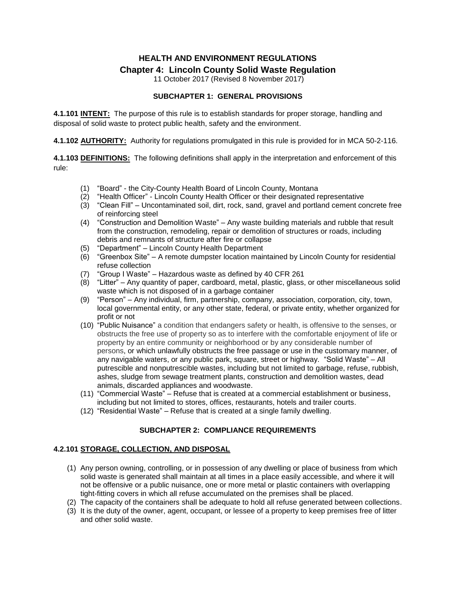# **HEALTH AND ENVIRONMENT REGULATIONS Chapter 4: Lincoln County Solid Waste Regulation**

11 October 2017 (Revised 8 November 2017)

### **SUBCHAPTER 1: GENERAL PROVISIONS**

**4.1.101 INTENT:** The purpose of this rule is to establish standards for proper storage, handling and disposal of solid waste to protect public health, safety and the environment.

**4.1.102 AUTHORITY:** Authority for regulations promulgated in this rule is provided for in MCA 50-2-116.

**4.1.103 DEFINITIONS:** The following definitions shall apply in the interpretation and enforcement of this rule:

- (1) "Board" the City-County Health Board of Lincoln County, Montana
- (2) "Health Officer" Lincoln County Health Officer or their designated representative
- (3) "Clean Fill" Uncontaminated soil, dirt, rock, sand, gravel and portland cement concrete free of reinforcing steel
- (4) "Construction and Demolition Waste" Any waste building materials and rubble that result from the construction, remodeling, repair or demolition of structures or roads, including debris and remnants of structure after fire or collapse
- (5) "Department" Lincoln County Health Department
- (6) "Greenbox Site" A remote dumpster location maintained by Lincoln County for residential refuse collection
- (7) "Group I Waste" Hazardous waste as defined by 40 CFR 261
- (8) "Litter" Any quantity of paper, cardboard, metal, plastic, glass, or other miscellaneous solid waste which is not disposed of in a garbage container
- (9) "Person" Any individual, firm, partnership, company, association, corporation, city, town, local governmental entity, or any other state, federal, or private entity, whether organized for profit or not
- (10) "Public Nuisance" a condition that endangers safety or health, is offensive to the senses, or obstructs the free use of property so as to interfere with the comfortable enjoyment of life or property by an entire community or neighborhood or by any considerable number of persons, or which unlawfully obstructs the free passage or use in the customary manner, of any navigable waters, or any public park, square, street or highway. "Solid Waste" – All putrescible and nonputrescible wastes, including but not limited to garbage, refuse, rubbish, ashes, sludge from sewage treatment plants, construction and demolition wastes, dead animals, discarded appliances and woodwaste.
- (11) "Commercial Waste" Refuse that is created at a commercial establishment or business, including but not limited to stores, offices, restaurants, hotels and trailer courts.
- (12) "Residential Waste" Refuse that is created at a single family dwelling.

#### **SUBCHAPTER 2: COMPLIANCE REQUIREMENTS**

#### **4.2.101 STORAGE, COLLECTION, AND DISPOSAL**

- (1) Any person owning, controlling, or in possession of any dwelling or place of business from which solid waste is generated shall maintain at all times in a place easily accessible, and where it will not be offensive or a public nuisance, one or more metal or plastic containers with overlapping tight-fitting covers in which all refuse accumulated on the premises shall be placed.
- (2) The capacity of the containers shall be adequate to hold all refuse generated between collections.
- (3) It is the duty of the owner, agent, occupant, or lessee of a property to keep premises free of litter and other solid waste.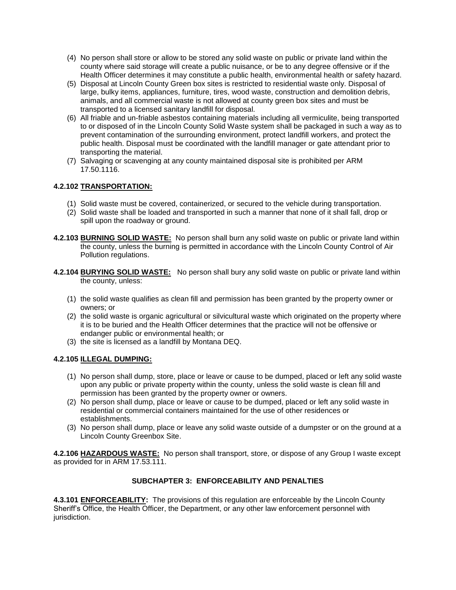- (4) No person shall store or allow to be stored any solid waste on public or private land within the county where said storage will create a public nuisance, or be to any degree offensive or if the Health Officer determines it may constitute a public health, environmental health or safety hazard.
- (5) Disposal at Lincoln County Green box sites is restricted to residential waste only. Disposal of large, bulky items, appliances, furniture, tires, wood waste, construction and demolition debris, animals, and all commercial waste is not allowed at county green box sites and must be transported to a licensed sanitary landfill for disposal.
- (6) All friable and un-friable asbestos containing materials including all vermiculite, being transported to or disposed of in the Lincoln County Solid Waste system shall be packaged in such a way as to prevent contamination of the surrounding environment, protect landfill workers, and protect the public health. Disposal must be coordinated with the landfill manager or gate attendant prior to transporting the material.
- (7) Salvaging or scavenging at any county maintained disposal site is prohibited per ARM 17.50.1116.

## **4.2.102 TRANSPORTATION:**

- (1) Solid waste must be covered, containerized, or secured to the vehicle during transportation.
- (2) Solid waste shall be loaded and transported in such a manner that none of it shall fall, drop or spill upon the roadway or ground.
- **4.2.103 BURNING SOLID WASTE:** No person shall burn any solid waste on public or private land within the county, unless the burning is permitted in accordance with the Lincoln County Control of Air Pollution regulations.
- **4.2.104 BURYING SOLID WASTE:** No person shall bury any solid waste on public or private land within the county, unless:
	- (1) the solid waste qualifies as clean fill and permission has been granted by the property owner or owners; or
	- (2) the solid waste is organic agricultural or silvicultural waste which originated on the property where it is to be buried and the Health Officer determines that the practice will not be offensive or endanger public or environmental health; or
	- (3) the site is licensed as a landfill by Montana DEQ.

#### **4.2.105 ILLEGAL DUMPING:**

- (1) No person shall dump, store, place or leave or cause to be dumped, placed or left any solid waste upon any public or private property within the county, unless the solid waste is clean fill and permission has been granted by the property owner or owners.
- (2) No person shall dump, place or leave or cause to be dumped, placed or left any solid waste in residential or commercial containers maintained for the use of other residences or establishments.
- (3) No person shall dump, place or leave any solid waste outside of a dumpster or on the ground at a Lincoln County Greenbox Site.

**4.2.106 HAZARDOUS WASTE:** No person shall transport, store, or dispose of any Group I waste except as provided for in ARM 17.53.111.

#### **SUBCHAPTER 3: ENFORCEABILITY AND PENALTIES**

**4.3.101 ENFORCEABILITY:** The provisions of this regulation are enforceable by the Lincoln County Sheriff's Office, the Health Officer, the Department, or any other law enforcement personnel with jurisdiction.